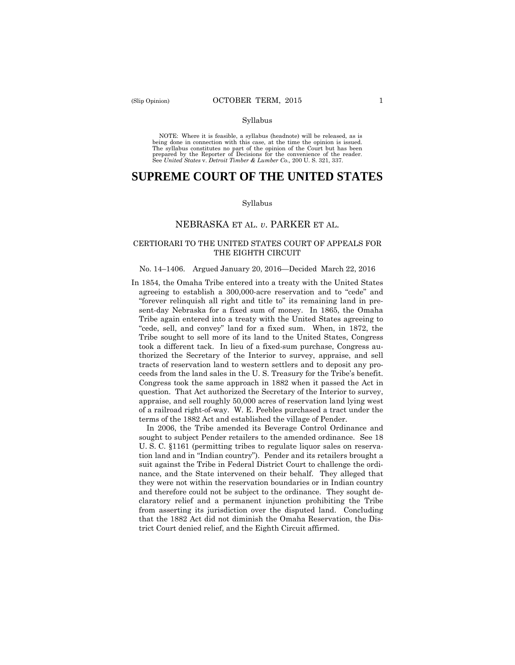#### Syllabus

 NOTE: Where it is feasible, a syllabus (headnote) will be released, as is being done in connection with this case, at the time the opinion is issued. The syllabus constitutes no part of the opinion of the Court but has been<br>prepared by the Reporter of Decisions for the convenience of the reader.<br>See United States v. Detroit Timber & Lumber Co., 200 U.S. 321, 337.

# **SUPREME COURT OF THE UNITED STATES**

#### Syllabus

## NEBRASKA ET AL. *v*. PARKER ET AL.

### CERTIORARI TO THE UNITED STATES COURT OF APPEALS FOR THE EIGHTH CIRCUIT

#### No. 14–1406. Argued January 20, 2016—Decided March 22, 2016

In 1854, the Omaha Tribe entered into a treaty with the United States agreeing to establish a 300,000-acre reservation and to "cede" and "forever relinquish all right and title to" its remaining land in present-day Nebraska for a fixed sum of money. In 1865, the Omaha Tribe again entered into a treaty with the United States agreeing to "cede, sell, and convey" land for a fixed sum. When, in 1872, the Tribe sought to sell more of its land to the United States, Congress took a different tack. In lieu of a fixed-sum purchase, Congress authorized the Secretary of the Interior to survey, appraise, and sell tracts of reservation land to western settlers and to deposit any proceeds from the land sales in the U. S. Treasury for the Tribe's benefit. Congress took the same approach in 1882 when it passed the Act in question. That Act authorized the Secretary of the Interior to survey, appraise, and sell roughly 50,000 acres of reservation land lying west of a railroad right-of-way. W. E. Peebles purchased a tract under the terms of the 1882 Act and established the village of Pender.

In 2006, the Tribe amended its Beverage Control Ordinance and sought to subject Pender retailers to the amended ordinance. See 18 U. S. C. §1161 (permitting tribes to regulate liquor sales on reservation land and in "Indian country"). Pender and its retailers brought a suit against the Tribe in Federal District Court to challenge the ordinance, and the State intervened on their behalf. They alleged that they were not within the reservation boundaries or in Indian country and therefore could not be subject to the ordinance. They sought declaratory relief and a permanent injunction prohibiting the Tribe from asserting its jurisdiction over the disputed land. Concluding that the 1882 Act did not diminish the Omaha Reservation, the District Court denied relief, and the Eighth Circuit affirmed.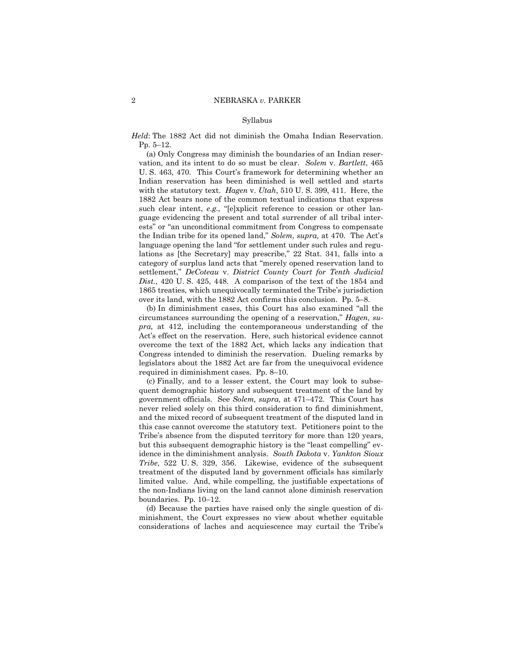#### Syllabus

*Held*: The 1882 Act did not diminish the Omaha Indian Reservation. Pp. 5–12.

 vation, and its intent to do so must be clear. *Solem* v. *Bartlett*, 465 (a) Only Congress may diminish the boundaries of an Indian reser-U. S. 463, 470. This Court's framework for determining whether an Indian reservation has been diminished is well settled and starts with the statutory text. *Hagen* v. *Utah*, 510 U. S. 399, 411. Here, the 1882 Act bears none of the common textual indications that express such clear intent, *e.g.,* "[e]xplicit reference to cession or other language evidencing the present and total surrender of all tribal interests" or "an unconditional commitment from Congress to compensate the Indian tribe for its opened land," *Solem*, *supra,* at 470. The Act's language opening the land "for settlement under such rules and regulations as [the Secretary] may prescribe," 22 Stat. 341, falls into a category of surplus land acts that "merely opened reservation land to settlement," *DeCoteau* v. *District County Court for Tenth Judicial Dist.*, 420 U. S. 425, 448. A comparison of the text of the 1854 and 1865 treaties, which unequivocally terminated the Tribe's jurisdiction over its land, with the 1882 Act confirms this conclusion. Pp. 5–8.

(b) In diminishment cases, this Court has also examined "all the circumstances surrounding the opening of a reservation," *Hagen, supra,* at 412, including the contemporaneous understanding of the Act's effect on the reservation. Here, such historical evidence cannot overcome the text of the 1882 Act, which lacks any indication that Congress intended to diminish the reservation. Dueling remarks by legislators about the 1882 Act are far from the unequivocal evidence required in diminishment cases. Pp. 8–10.

(c) Finally, and to a lesser extent, the Court may look to subsequent demographic history and subsequent treatment of the land by government officials. See *Solem, supra,* at 471–472. This Court has never relied solely on this third consideration to find diminishment, and the mixed record of subsequent treatment of the disputed land in this case cannot overcome the statutory text. Petitioners point to the Tribe's absence from the disputed territory for more than 120 years, but this subsequent demographic history is the "least compelling" evidence in the diminishment analysis. *South Dakota* v. *Yankton Sioux Tribe*, 522 U. S. 329, 356. Likewise, evidence of the subsequent treatment of the disputed land by government officials has similarly limited value. And, while compelling, the justifiable expectations of the non-Indians living on the land cannot alone diminish reservation boundaries. Pp. 10–12.

(d) Because the parties have raised only the single question of diminishment, the Court expresses no view about whether equitable considerations of laches and acquiescence may curtail the Tribe's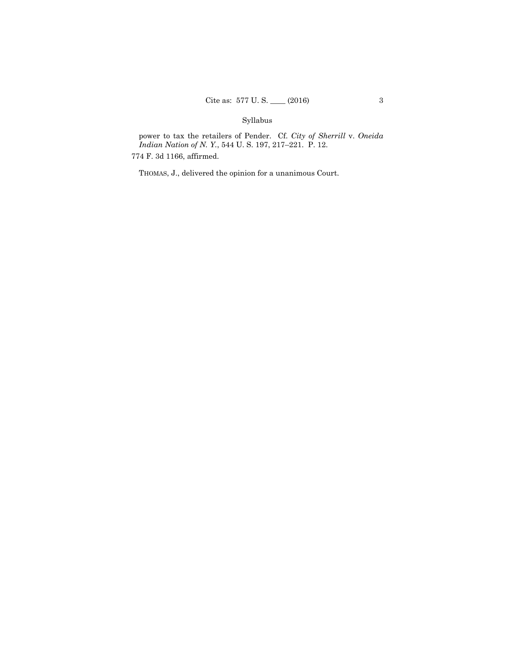## Syllabus

power to tax the retailers of Pender. Cf. *City of Sherrill* v. *Oneida Indian Nation of N. Y.*, 544 U. S. 197, 217–221. P. 12.

774 F. 3d 1166, affirmed.

THOMAS, J., delivered the opinion for a unanimous Court.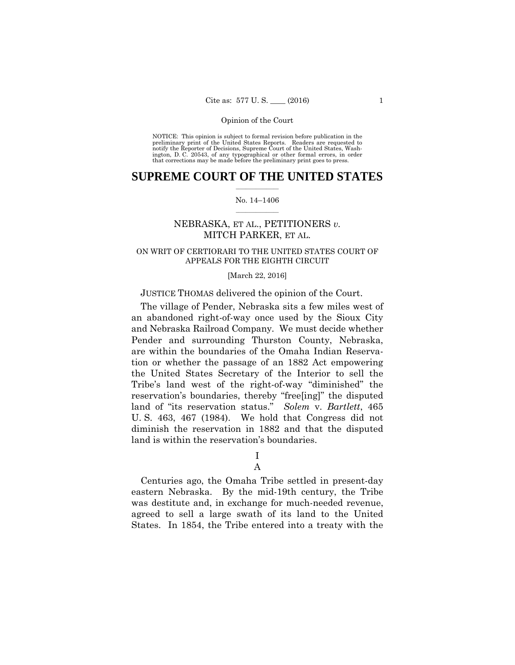preliminary print of the United States Reports. Readers are requested to notify the Reporter of Decisions, Supreme Court of the United States, Wash- ington, D. C. 20543, of any typographical or other formal errors, in order that corrections may be made before the preliminary print goes to press. NOTICE: This opinion is subject to formal revision before publication in the

## $\frac{1}{2}$  ,  $\frac{1}{2}$  ,  $\frac{1}{2}$  ,  $\frac{1}{2}$  ,  $\frac{1}{2}$  ,  $\frac{1}{2}$  ,  $\frac{1}{2}$ **SUPREME COURT OF THE UNITED STATES**

#### $\frac{1}{2}$  ,  $\frac{1}{2}$  ,  $\frac{1}{2}$  ,  $\frac{1}{2}$  ,  $\frac{1}{2}$  ,  $\frac{1}{2}$ No. 14–1406

## NEBRASKA, ET AL., PETITIONERS *v.* MITCH PARKER, ET AL.

## ON WRIT OF CERTIORARI TO THE UNITED STATES COURT OF APPEALS FOR THE EIGHTH CIRCUIT

#### [March 22, 2016]

## JUSTICE THOMAS delivered the opinion of the Court.

 and Nebraska Railroad Company. We must decide whether The village of Pender, Nebraska sits a few miles west of an abandoned right-of-way once used by the Sioux City Pender and surrounding Thurston County, Nebraska, are within the boundaries of the Omaha Indian Reservation or whether the passage of an 1882 Act empowering the United States Secretary of the Interior to sell the Tribe's land west of the right-of-way "diminished" the reservation's boundaries, thereby "free[ing]" the disputed land of "its reservation status." *Solem* v. *Bartlett*, 465 U. S. 463, 467 (1984). We hold that Congress did not diminish the reservation in 1882 and that the disputed land is within the reservation's boundaries.

## I A

Centuries ago, the Omaha Tribe settled in present-day eastern Nebraska. By the mid-19th century, the Tribe was destitute and, in exchange for much-needed revenue, agreed to sell a large swath of its land to the United States. In 1854, the Tribe entered into a treaty with the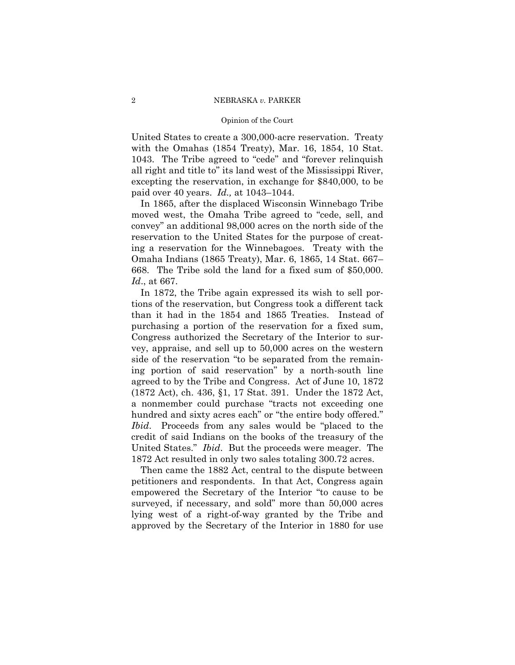#### Opinion of the Court

United States to create a 300,000-acre reservation. Treaty with the Omahas (1854 Treaty), Mar. 16, 1854, 10 Stat. 1043. The Tribe agreed to "cede" and "forever relinquish all right and title to" its land west of the Mississippi River, excepting the reservation, in exchange for \$840,000, to be paid over 40 years. *Id.,* at 1043–1044.

In 1865, after the displaced Wisconsin Winnebago Tribe moved west, the Omaha Tribe agreed to "cede, sell, and convey" an additional 98,000 acres on the north side of the reservation to the United States for the purpose of creating a reservation for the Winnebagoes. Treaty with the Omaha Indians (1865 Treaty), Mar. 6, 1865, 14 Stat. 667– 668. The Tribe sold the land for a fixed sum of \$50,000. *Id*., at 667.

In 1872, the Tribe again expressed its wish to sell portions of the reservation, but Congress took a different tack than it had in the 1854 and 1865 Treaties. Instead of purchasing a portion of the reservation for a fixed sum, Congress authorized the Secretary of the Interior to survey, appraise, and sell up to 50,000 acres on the western side of the reservation "to be separated from the remaining portion of said reservation" by a north-south line agreed to by the Tribe and Congress. Act of June 10, 1872 (1872 Act), ch. 436, §1, 17 Stat. 391. Under the 1872 Act, a nonmember could purchase "tracts not exceeding one hundred and sixty acres each" or "the entire body offered." *Ibid*. Proceeds from any sales would be "placed to the credit of said Indians on the books of the treasury of the United States." *Ibid*. But the proceeds were meager. The 1872 Act resulted in only two sales totaling 300.72 acres.

Then came the 1882 Act, central to the dispute between petitioners and respondents. In that Act, Congress again empowered the Secretary of the Interior "to cause to be surveyed, if necessary, and sold" more than 50,000 acres lying west of a right-of-way granted by the Tribe and approved by the Secretary of the Interior in 1880 for use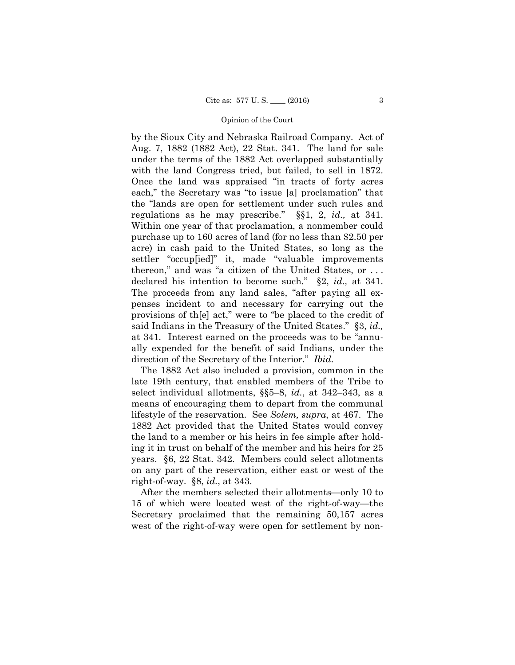by the Sioux City and Nebraska Railroad Company. Act of Aug. 7, 1882 (1882 Act), 22 Stat. 341. The land for sale under the terms of the 1882 Act overlapped substantially with the land Congress tried, but failed, to sell in 1872. Once the land was appraised "in tracts of forty acres each," the Secretary was "to issue [a] proclamation" that the "lands are open for settlement under such rules and regulations as he may prescribe." §§1, 2, *id.,* at 341. Within one year of that proclamation, a nonmember could purchase up to 160 acres of land (for no less than \$2.50 per acre) in cash paid to the United States, so long as the settler "occup[ied]" it, made "valuable improvements thereon," and was "a citizen of the United States, or . . . declared his intention to become such." §2, *id.,* at 341. The proceeds from any land sales, "after paying all expenses incident to and necessary for carrying out the provisions of th[e] act," were to "be placed to the credit of said Indians in the Treasury of the United States." §3, *id.,*  at 341*.* Interest earned on the proceeds was to be "annually expended for the benefit of said Indians, under the direction of the Secretary of the Interior." *Ibid.* 

The 1882 Act also included a provision, common in the late 19th century, that enabled members of the Tribe to select individual allotments, §§5–8, *id.*, at 342–343, as a means of encouraging them to depart from the communal lifestyle of the reservation. See *Solem, supra*, at 467. The 1882 Act provided that the United States would convey the land to a member or his heirs in fee simple after holding it in trust on behalf of the member and his heirs for 25 years. §6, 22 Stat. 342. Members could select allotments on any part of the reservation, either east or west of the right-of-way. §8, *id.*, at 343.

After the members selected their allotments—only 10 to 15 of which were located west of the right-of-way—the Secretary proclaimed that the remaining 50,157 acres west of the right-of-way were open for settlement by non-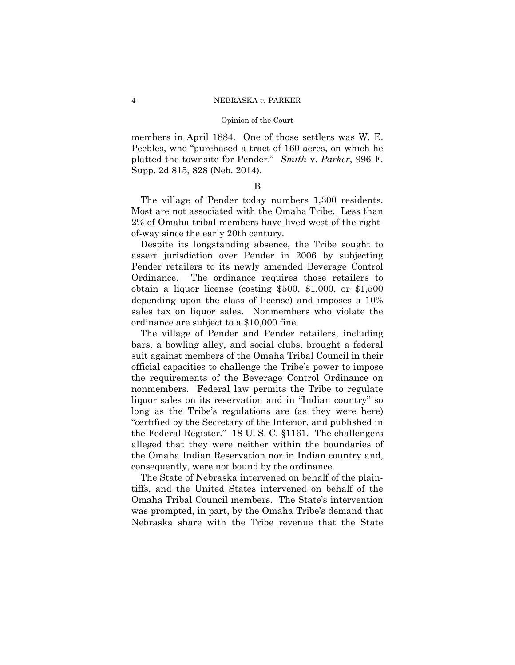platted the townsite for Pender." *Smith* v. *Parker*, 996 F. members in April 1884. One of those settlers was W. E. Peebles, who "purchased a tract of 160 acres, on which he Supp. 2d 815, 828 (Neb. 2014).

## B

The village of Pender today numbers 1,300 residents. Most are not associated with the Omaha Tribe. Less than 2% of Omaha tribal members have lived west of the rightof-way since the early 20th century.

Despite its longstanding absence, the Tribe sought to assert jurisdiction over Pender in 2006 by subjecting Pender retailers to its newly amended Beverage Control Ordinance. The ordinance requires those retailers to obtain a liquor license (costing \$500, \$1,000, or \$1,500 depending upon the class of license) and imposes a 10% sales tax on liquor sales. Nonmembers who violate the ordinance are subject to a \$10,000 fine.

The village of Pender and Pender retailers, including bars, a bowling alley, and social clubs, brought a federal suit against members of the Omaha Tribal Council in their official capacities to challenge the Tribe's power to impose the requirements of the Beverage Control Ordinance on nonmembers. Federal law permits the Tribe to regulate liquor sales on its reservation and in "Indian country" so long as the Tribe's regulations are (as they were here) "certified by the Secretary of the Interior, and published in the Federal Register." 18 U. S. C. §1161. The challengers alleged that they were neither within the boundaries of the Omaha Indian Reservation nor in Indian country and, consequently, were not bound by the ordinance.

The State of Nebraska intervened on behalf of the plaintiffs, and the United States intervened on behalf of the Omaha Tribal Council members. The State's intervention was prompted, in part, by the Omaha Tribe's demand that Nebraska share with the Tribe revenue that the State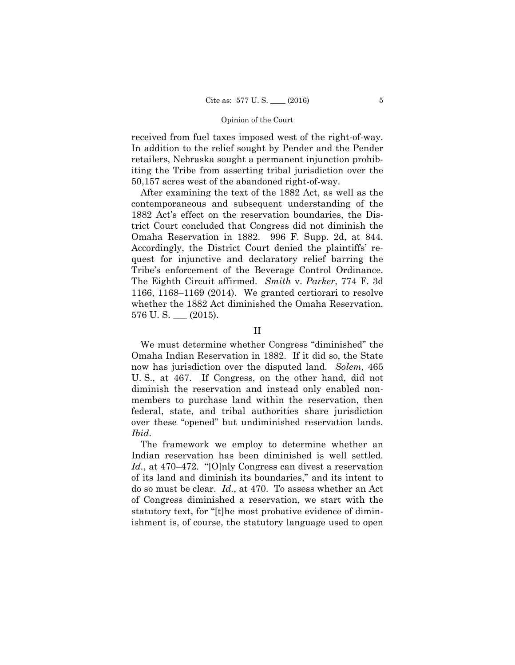received from fuel taxes imposed west of the right-of-way. In addition to the relief sought by Pender and the Pender retailers, Nebraska sought a permanent injunction prohibiting the Tribe from asserting tribal jurisdiction over the 50,157 acres west of the abandoned right-of-way.

After examining the text of the 1882 Act, as well as the contemporaneous and subsequent understanding of the 1882 Act's effect on the reservation boundaries, the District Court concluded that Congress did not diminish the Omaha Reservation in 1882. 996 F. Supp. 2d, at 844. Accordingly, the District Court denied the plaintiffs' request for injunctive and declaratory relief barring the Tribe's enforcement of the Beverage Control Ordinance. The Eighth Circuit affirmed. *Smith* v. *Parker*, 774 F. 3d 1166, 1168–1169 (2014). We granted certiorari to resolve whether the 1882 Act diminished the Omaha Reservation.  $576$  U.S.  $\_\_$  (2015).

### II

We must determine whether Congress "diminished" the Omaha Indian Reservation in 1882. If it did so, the State now has jurisdiction over the disputed land. *Solem*, 465 U. S., at 467. If Congress, on the other hand, did not diminish the reservation and instead only enabled nonmembers to purchase land within the reservation, then federal, state, and tribal authorities share jurisdiction over these "opened" but undiminished reservation lands. *Ibid*.

The framework we employ to determine whether an Indian reservation has been diminished is well settled. *Id.*, at 470–472. "[O]nly Congress can divest a reservation of its land and diminish its boundaries," and its intent to do so must be clear. *Id.*, at 470. To assess whether an Act of Congress diminished a reservation, we start with the statutory text, for "[t]he most probative evidence of diminishment is, of course, the statutory language used to open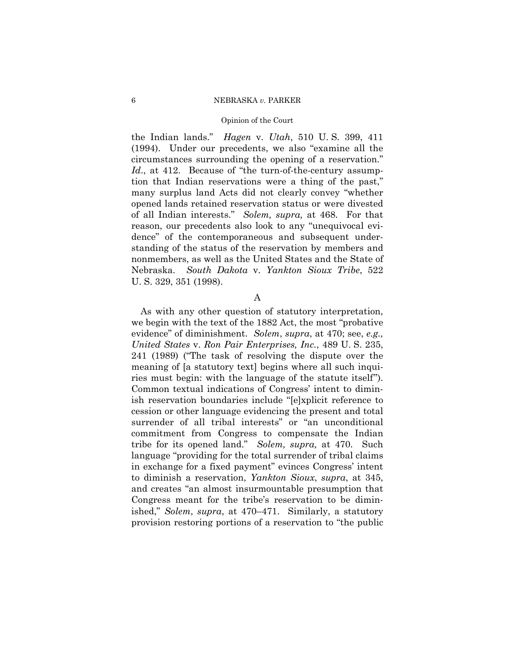#### Opinion of the Court

(1994). Under our precedents, we also "examine all the the Indian lands." *Hagen* v. *Utah*, 510 U. S. 399, 411 circumstances surrounding the opening of a reservation." *Id*., at 412. Because of "the turn-of-the-century assumption that Indian reservations were a thing of the past," many surplus land Acts did not clearly convey "whether opened lands retained reservation status or were divested of all Indian interests." *Solem, supra,* at 468. For that reason, our precedents also look to any "unequivocal evidence" of the contemporaneous and subsequent understanding of the status of the reservation by members and nonmembers, as well as the United States and the State of Nebraska. *South Dakota* v. *Yankton Sioux Tribe*, 522 U. S. 329, 351 (1998).

## A

As with any other question of statutory interpretation, we begin with the text of the 1882 Act, the most "probative evidence" of diminishment. *Solem*, *supra*, at 470; see, *e.g., United States* v. *Ron Pair Enterprises, Inc.*, 489 U. S. 235, 241 (1989) ("The task of resolving the dispute over the meaning of [a statutory text] begins where all such inquiries must begin: with the language of the statute itself"). Common textual indications of Congress' intent to diminish reservation boundaries include "[e]xplicit reference to cession or other language evidencing the present and total surrender of all tribal interests" or "an unconditional commitment from Congress to compensate the Indian tribe for its opened land." *Solem, supra,* at 470. Such language "providing for the total surrender of tribal claims in exchange for a fixed payment" evinces Congress' intent to diminish a reservation, *Yankton Sioux*, *supra*, at 345, and creates "an almost insurmountable presumption that Congress meant for the tribe's reservation to be diminished," *Solem*, *supra*, at 470–471. Similarly, a statutory provision restoring portions of a reservation to "the public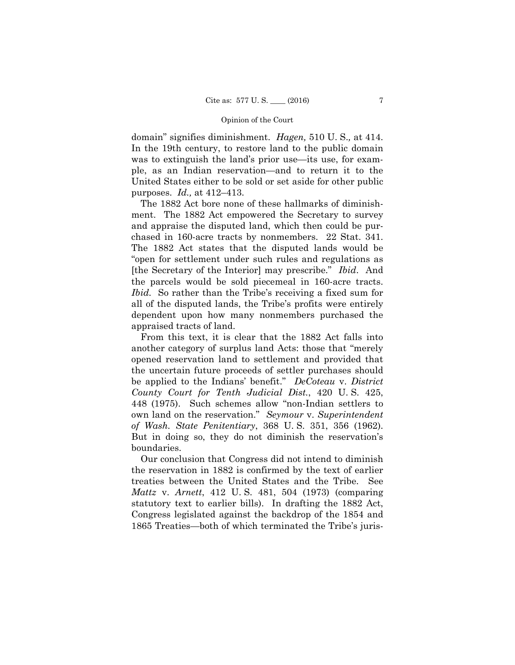domain" signifies diminishment. *Hagen,* 510 U. S.*,* at 414. In the 19th century, to restore land to the public domain was to extinguish the land's prior use—its use, for example, as an Indian reservation—and to return it to the United States either to be sold or set aside for other public purposes. *Id.,* at 412–413.

The 1882 Act bore none of these hallmarks of diminishment. The 1882 Act empowered the Secretary to survey and appraise the disputed land, which then could be purchased in 160-acre tracts by nonmembers. 22 Stat. 341. The 1882 Act states that the disputed lands would be "open for settlement under such rules and regulations as [the Secretary of the Interior] may prescribe." *Ibid*. And the parcels would be sold piecemeal in 160-acre tracts. *Ibid.* So rather than the Tribe's receiving a fixed sum for all of the disputed lands, the Tribe's profits were entirely dependent upon how many nonmembers purchased the appraised tracts of land.

From this text, it is clear that the 1882 Act falls into another category of surplus land Acts: those that "merely opened reservation land to settlement and provided that the uncertain future proceeds of settler purchases should be applied to the Indians' benefit." *DeCoteau* v. *District County Court for Tenth Judicial Dist.*, 420 U. S. 425, 448 (1975). Such schemes allow "non-Indian settlers to own land on the reservation." *Seymour* v. *Superintendent of Wash. State Penitentiary*, 368 U. S. 351, 356 (1962). But in doing so, they do not diminish the reservation's boundaries.

Our conclusion that Congress did not intend to diminish the reservation in 1882 is confirmed by the text of earlier treaties between the United States and the Tribe. See *Mattz* v. *Arnett*, 412 U. S. 481, 504 (1973) (comparing statutory text to earlier bills). In drafting the 1882 Act, Congress legislated against the backdrop of the 1854 and 1865 Treaties—both of which terminated the Tribe's juris-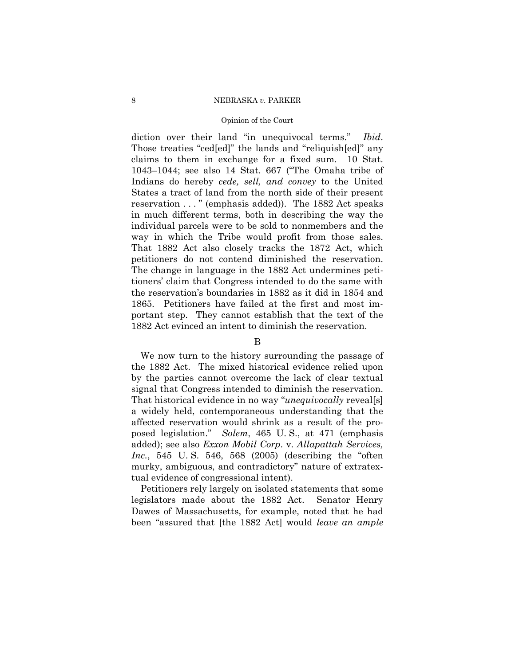#### Opinion of the Court

diction over their land "in unequivocal terms." *Ibid*. Those treaties "ced[ed]" the lands and "reliquish[ed]" any claims to them in exchange for a fixed sum. 10 Stat. 1043–1044; see also 14 Stat. 667 ("The Omaha tribe of Indians do hereby *cede, sell, and convey* to the United States a tract of land from the north side of their present reservation . . . " (emphasis added)). The 1882 Act speaks in much different terms, both in describing the way the individual parcels were to be sold to nonmembers and the way in which the Tribe would profit from those sales. That 1882 Act also closely tracks the 1872 Act, which petitioners do not contend diminished the reservation. The change in language in the 1882 Act undermines petitioners' claim that Congress intended to do the same with the reservation's boundaries in 1882 as it did in 1854 and 1865. Petitioners have failed at the first and most important step. They cannot establish that the text of the 1882 Act evinced an intent to diminish the reservation.

## B

We now turn to the history surrounding the passage of the 1882 Act. The mixed historical evidence relied upon by the parties cannot overcome the lack of clear textual signal that Congress intended to diminish the reservation. That historical evidence in no way "*unequivocally* reveal[s] a widely held, contemporaneous understanding that the affected reservation would shrink as a result of the proposed legislation." *Solem*, 465 U. S., at 471 (emphasis added); see also *Exxon Mobil Corp*. v. *Allapattah Services, Inc.*, 545 U. S. 546, 568 (2005) (describing the "often murky, ambiguous, and contradictory" nature of extratextual evidence of congressional intent).

Petitioners rely largely on isolated statements that some legislators made about the 1882 Act. Senator Henry Dawes of Massachusetts, for example, noted that he had been "assured that [the 1882 Act] would *leave an ample*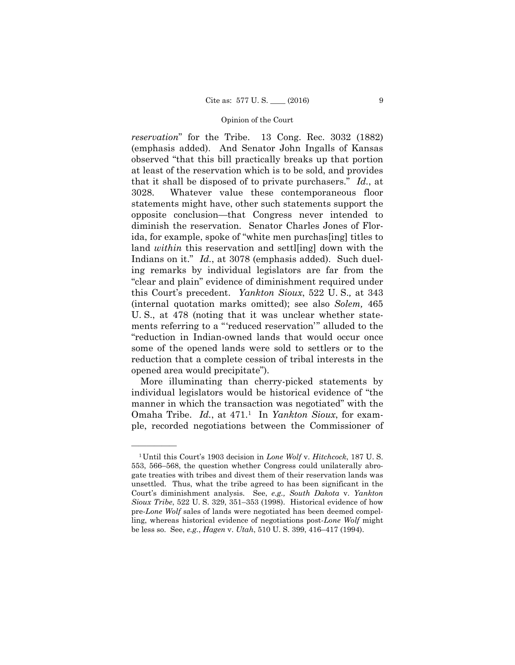this Court's precedent. *Yankton Sioux*, 522 U. S.*,* at 343 *reservation*" for the Tribe. 13 Cong. Rec. 3032 (1882) (emphasis added). And Senator John Ingalls of Kansas observed "that this bill practically breaks up that portion at least of the reservation which is to be sold, and provides that it shall be disposed of to private purchasers." *Id.*, at 3028. Whatever value these contemporaneous floor statements might have, other such statements support the opposite conclusion—that Congress never intended to diminish the reservation. Senator Charles Jones of Florida, for example, spoke of "white men purchas[ing] titles to land *within* this reservation and settlen lown with the Indians on it." *Id.*, at 3078 (emphasis added). Such dueling remarks by individual legislators are far from the "clear and plain" evidence of diminishment required under (internal quotation marks omitted); see also *Solem,* 465 U. S., at 478 (noting that it was unclear whether statements referring to a "'reduced reservation'" alluded to the "reduction in Indian-owned lands that would occur once some of the opened lands were sold to settlers or to the reduction that a complete cession of tribal interests in the opened area would precipitate").

More illuminating than cherry-picked statements by individual legislators would be historical evidence of "the manner in which the transaction was negotiated" with the Omaha Tribe. *Id.*, at 471.1 In *Yankton Sioux*, for example, recorded negotiations between the Commissioner of

——————

 *Sioux Tribe*, 522 U. S. 329, 351–353 (1998). Historical evidence of how 1Until this Court's 1903 decision in *Lone Wolf* v. *Hitchcock*, 187 U. S. 553, 566–568, the question whether Congress could unilaterally abrogate treaties with tribes and divest them of their reservation lands was unsettled. Thus, what the tribe agreed to has been significant in the Court's diminishment analysis. See, *e.g., South Dakota* v. *Yankton*  pre-*Lone Wolf* sales of lands were negotiated has been deemed compelling, whereas historical evidence of negotiations post-*Lone Wolf* might be less so. See, *e.g.*, *Hagen* v. *Utah*, 510 U. S. 399, 416–417 (1994).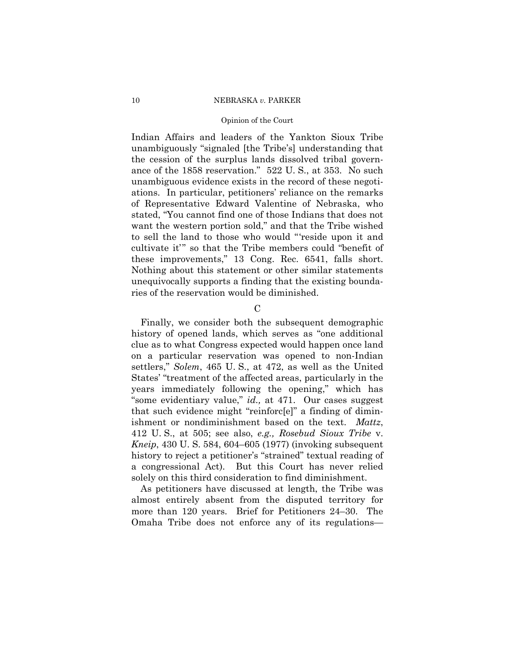#### Opinion of the Court

Indian Affairs and leaders of the Yankton Sioux Tribe unambiguously "signaled [the Tribe's] understanding that the cession of the surplus lands dissolved tribal governance of the 1858 reservation." 522 U. S., at 353. No such unambiguous evidence exists in the record of these negotiations. In particular, petitioners' reliance on the remarks of Representative Edward Valentine of Nebraska, who stated, "You cannot find one of those Indians that does not want the western portion sold," and that the Tribe wished to sell the land to those who would "'reside upon it and cultivate it'" so that the Tribe members could "benefit of these improvements," 13 Cong. Rec. 6541, falls short. Nothing about this statement or other similar statements unequivocally supports a finding that the existing boundaries of the reservation would be diminished.

 $\mathcal{C}$ 

Finally, we consider both the subsequent demographic history of opened lands, which serves as "one additional clue as to what Congress expected would happen once land on a particular reservation was opened to non-Indian settlers," *Solem*, 465 U. S., at 472, as well as the United States' "treatment of the affected areas, particularly in the years immediately following the opening," which has "some evidentiary value," *id.,* at 471. Our cases suggest that such evidence might "reinforc[e]" a finding of diminishment or nondiminishment based on the text. *Mattz*, 412 U. S., at 505; see also, *e.g., Rosebud Sioux Tribe* v. *Kneip*, 430 U. S. 584, 604–605 (1977) (invoking subsequent history to reject a petitioner's "strained" textual reading of a congressional Act). But this Court has never relied solely on this third consideration to find diminishment.

As petitioners have discussed at length, the Tribe was almost entirely absent from the disputed territory for more than 120 years. Brief for Petitioners 24–30. The Omaha Tribe does not enforce any of its regulations—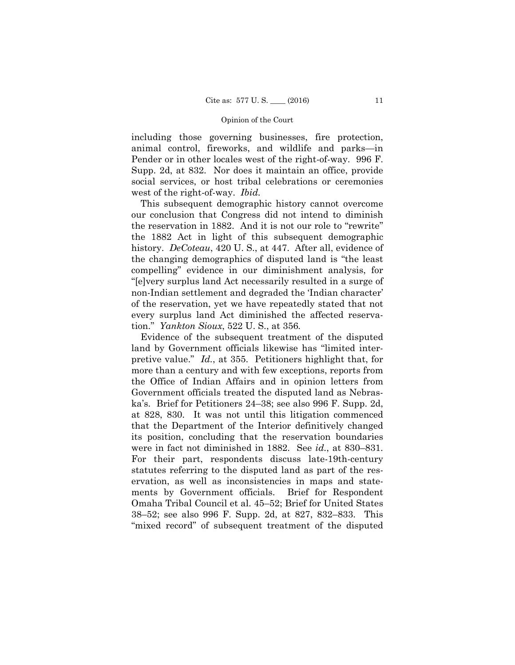including those governing businesses, fire protection, animal control, fireworks, and wildlife and parks—in Pender or in other locales west of the right-of-way. 996 F. Supp. 2d, at 832. Nor does it maintain an office, provide social services, or host tribal celebrations or ceremonies west of the right-of-way. *Ibid.* 

This subsequent demographic history cannot overcome our conclusion that Congress did not intend to diminish the reservation in 1882. And it is not our role to "rewrite" the 1882 Act in light of this subsequent demographic history. *DeCoteau*, 420 U. S., at 447. After all, evidence of the changing demographics of disputed land is "the least compelling" evidence in our diminishment analysis, for "[e]very surplus land Act necessarily resulted in a surge of non-Indian settlement and degraded the 'Indian character' of the reservation, yet we have repeatedly stated that not every surplus land Act diminished the affected reservation." *Yankton Sioux*, 522 U. S., at 356*.* 

Evidence of the subsequent treatment of the disputed land by Government officials likewise has "limited interpretive value." *Id.*, at 355. Petitioners highlight that, for more than a century and with few exceptions, reports from the Office of Indian Affairs and in opinion letters from Government officials treated the disputed land as Nebraska's. Brief for Petitioners 24–38; see also 996 F. Supp. 2d, at 828, 830. It was not until this litigation commenced that the Department of the Interior definitively changed its position, concluding that the reservation boundaries were in fact not diminished in 1882. See *id.*, at 830–831. For their part, respondents discuss late-19th-century statutes referring to the disputed land as part of the reservation, as well as inconsistencies in maps and statements by Government officials. Brief for Respondent Omaha Tribal Council et al. 45–52; Brief for United States 38–52; see also 996 F. Supp. 2d, at 827, 832–833. This "mixed record" of subsequent treatment of the disputed